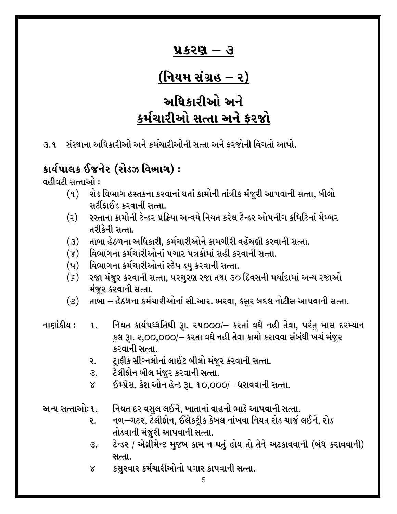## <u>પ્રકરણ  $-$  ૩</u>

# (નિયમ સંગ્રહ  $-$  ૨)

# <u>અધિકારીઓ અને</u> કર્મચારીઓ સત્તા અને કરજો

૩.૧ સંસ્થાના અધિકારીઓ અને કર્મચારીઓની સત્તા અને કરજોની વિગતો આપો.

## કાર્યપાલક ઈજનેર (રોડઝ વિભાગ) :

વહીવટી સત્તાઓ :

- (૧) રોડ વિભાગ હસ્તકના કરવાનાં થતાં કામોની તાંત્રીક મંજૂરી આપવાની સત્તા, બીલો સર્ટીકાઈડ કરવાની સત્તા.
- રસ્તાના કામોની ટેન્ડર પ્રક્રિયા અન્વયે નિયત કરેલ ટેન્ડર ઓપનીંગ કમિટિનાં મેમ્બર  $(z)$ તરીકેની સત્તા.
- (૩) તાબા હેઠળના અધિકારી, કર્મચારીઓને કામગીરી વહેંચણી કરવાની સત્તા.
- (૪) વિભાગના કર્મચારીઓનાં પગાર પત્રકોમાં સહી કરવાની સત્તા.
- (૫) વિભાગના કર્મચારીઓનાં સ્ટેપ ડય કરવાની સત્તા.
- (*૬*) રજા મંજૂર કરવાની સત્તા, પરચુરણ રજા તથા ૩૦ દિવસની મર્યાદામાં અન્ય રજાઓ મંજર કરવાની સત્તા.
- (૭) તાબા હેઠળના કર્મચારીઓનાં સી.આર. ભરવા, કસુર બદલ નોટીસ આપવાની સત્તા.
- નાણાંકીય :  $\mathbf{q}$ .
- નિયત કાર્યપધ્ધતિથી રૂા. ૨૫૦૦૦/ કરતાં વધે નહી તેવા, પરંતુ માસ દરમ્યાન કુલ રૂા. ૨,૦૦,૦૦૦/– કરતા વધે નહી તેવા કામો કરાવવા સંબંધી ખર્ચ મંજુર કરવાની સત્તા.
- ટાફીક સીગ્નલોનાં લાઈટ બીલો મંજર કરવાની સત્તા. ૨.
- ટેલીફોન બીલ મંજૂર કરવાની સત્તા. 3.
- ઈમ્પ્રેસ, કેશ ઓન હેન્ડ રૂા. ૧૦,૦૦૦/– ધરાવવાની સત્તા.  $\mathsf{X}$

#### અન્ય સત્તાઓ:૧. નિયત દર વસુલ લઈને, ખાતાનાં વાહનો ભાડે આપવાની સત્તા.

- નળ–ગટર, ટેલીફોન, ઈલેકટ્રીક કેબલ નાંખવા નિયત રોડ ચાર્જ લઈને, રોડ ૨. તોડવાની મંજરી આપવાની સત્તા.
- ટેન્ડર / એગ્રીમેન્ટ મુજબ કામ ન થતું હોય તો તેને અટકાવવાની (બંધ કરાવવાની) З. સત્તા.
- કસરવાર કર્મચારીઓનો પગાર કાપવાની સત્તા.  $\chi$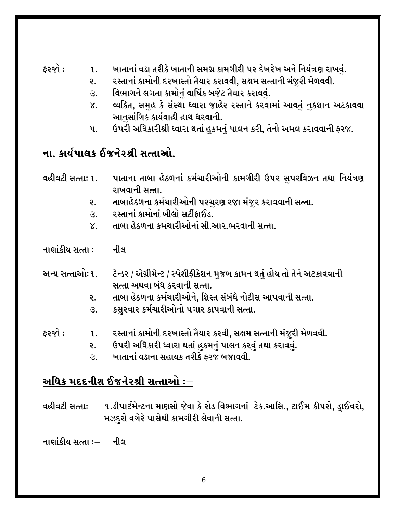### કરજો :

- ખાતાનાં વડા તરીકે ખાતાની સમગ્ર કામગીરી પર દેખરેખ અને નિયંત્રણ રાખવં.  $\mathbf{q}$ .
- રસ્તાનાં કામોની દરખાસ્તો તૈયાર કરાવવી, સક્ષમ સત્તાની મંજુરી મેળવવી. ૨.
- વિભાગને લગતા કામોનં વાર્ષિક બજેટ તૈયાર કરાવવં.  $\mathcal{S}$ .
- વ્યકિત, સમુહ કે સંસ્થા ધ્વારા જાહેર રસ્તાને કરવામાં આવતું નુકશાન અટકાવવા  $\chi$ . આનસાંગિક કાર્યવાહી હાથ ધરવાની.
- ઉપરી અધિકારીશ્રી ધ્વારા થતાં હુકમનું પાલન કરી, તેનો અમલ કરાવવાની ફરજ. પ.

### ના. કાર્યપાલક ઈજનેરશ્રી સત્તાઓ.

#### પાતાના તાબા હેઠળનાં કર્મચારીઓની કામગીરી ઉપર સપરવિઝન તથા નિયંત્રણ વહીવટી સત્તાઃ ૧. રાખવાની સત્તા.

- તાબાહેઠળના કર્મચારીઓની પરચુરણ રજા મંજુર કરાવવાની સત્તા. ૨.
- રસ્તાનાં કામોનાં બીલો સર્ટીકાઈડ.  $\mathcal{S}$ .
- તાબા હેઠળના કર્મચારીઓનાં સી.આર.ભરવાની સત્તા.  $X_{1}$
- નાણાંકીય સત્તા $:$  નીલ $\,$

#### અન્ય સત્તાઓ:૧. ટેન્ડર / એગ્રીમેન્ટ / સ્પેશીફીકેશન મુજબ કામન થતું હોય તો તેને અટકાવવાની સત્તા અથવા બંધ કરવાની સત્તા.

- તાબા હેઠળના કર્મચારીઓને. શિસ્ત સંબંધે નોટીસ આપવાની સત્તા. ૨.
- કસુરવાર કર્મચારીઓનો પગાર કાપવાની સત્તા.  $\mathcal{B}$ .
- કરજો : રસ્તાનાં કામોની દરખાસ્તો તૈયાર કરવી, સક્ષમ સત્તાની મંજુરી મેળવવી.  $\mathbf{q}$ .
	- ઉપરી અધિકારી ધ્વારા થતાં હુકમનું પાલન કરવું તથા કરાવવું. ૨.
	- ખાતાનાં વડાના સહાયક તરીકે કરજ બજાવવી.  $\mathcal{S}$ .

### અધિક મદદનીશ ઈજનેરશ્રી સત્તાઓ ઃ $-$

૧.ડીપાર્ટમેન્ટના માણસો જેવા કે રોડ વિભાગનાં ટેક.આસિ., ટાઈમ કીપરો, ડ્રાઈવરો, વહીવટી સત્તાઃ મઝદરો વગેરે પાસેથી કામગીરી લેવાની સત્તા.

નાણાંકીય સત્તા :— નીલ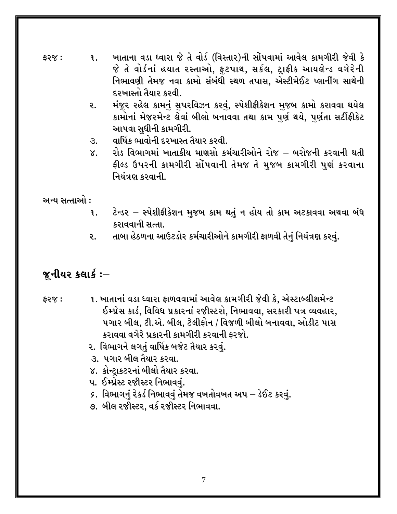- ખાતાના વડા ધ્વારા જે તે વોર્ડ (વિસ્તાર)ની સોંપવામાં આવેલ કામગીરી જેવી કે  $52\%$ : **q**. જે તે વોર્ડનાં હયાત રસ્તાઓ, ફટપાથ, સર્કલ, ટાફીક આયલેન્ડ વગેરેની નિભાવણી તેમજ નવા કામો સંબંધી સ્થળ તપાસ, એસ્ટીમેઈટ પ્લાનીંગ સાથેની દરખાસ્તો તૈયાર કરવી.
	- મંજુર રહેલ કામનું સુપરવિઝન કરવું, સ્પેશીફીકેશન મુજબ કામો કરાવવા થયેલ ૨. કામોનાં મેજરમેન્ટ લેવાં બીલો બનાવવા તથા કામ પુર્ણ થયે, પુર્ણતા સર્ટીફીકેટ આપવા સધીની કામગીરી.
	- વાર્ષિક ભાવોની દરખાસ્ત તૈયાર કરવી.  $\mathcal{E}$ .
	- રોડ વિભાગમાં ખાતાકીય માણસો કર્મચારીઓને રોજ બરોજની કરવાની થતી  $X_{1}$ ફીલ્ડ ઉપરની કામગીરી સોંપવાની તેમજ તે મુજબ કામગીરી પુર્ણ કરવાના નિયંત્રણ કરવાની.

અન્ય સત્તાઓ :

- ટેન્ડર સ્પેશીફીકેશન મુજબ કામ થતું ન હોય તો કામ અટકાવવા અથવા બંધ  $\mathbf{q}$ . કરાવવાની સત્તા.
- તાબા હેઠળના આઉટડોર કર્મચારીઓને કામગીરી ફાળવી તેનું નિયંત્રણ કરવું. **Q**

### જુનીયર કલા $\mathfrak{s}$  :–

- ૧. ખાતાનાં વડા ધ્વારા ફાળવવામાં આવેલ કામગીરી જેવી કે, એસ્ટાબ્લીશમેન્ટ  $$2\%:$ ઈમ્પ્રેસ કાર્ડ, વિવિધ પ્રકારનાં રજીસ્ટરો, નિભાવવા, સરકારી પત્ર વ્યવહાર, પગાર બીલ, ટી.એ. બીલ, ટેલીફોન / વિજળી બીલો બનાવવા, ઓડીટ પાસ કરાવવા વગેરે પ્રકારની કામગીરી કરવાની ફરજો.
	- ૨. વિભાગને લગતં વાર્ષિક બજેટ તૈયાર કરવં.
	- ૩. પગાર બીલ તૈયાર કરવા.
	- ૪. કોન્ટાકટરનાં બીલો તૈયાર કરવા.
	- ૫. ઈમ્પ્રેસ્ટ રજીસ્ટર નિભાવવં.
	- ૬. વિભાગનું રેકર્ડ નિભાવવું તેમજ વખતોવખત અપ ડેઈટ કરવું.
	- ૭. બીલ રજીસ્ટર, વર્ક રજીસ્ટર નિભાવવા.